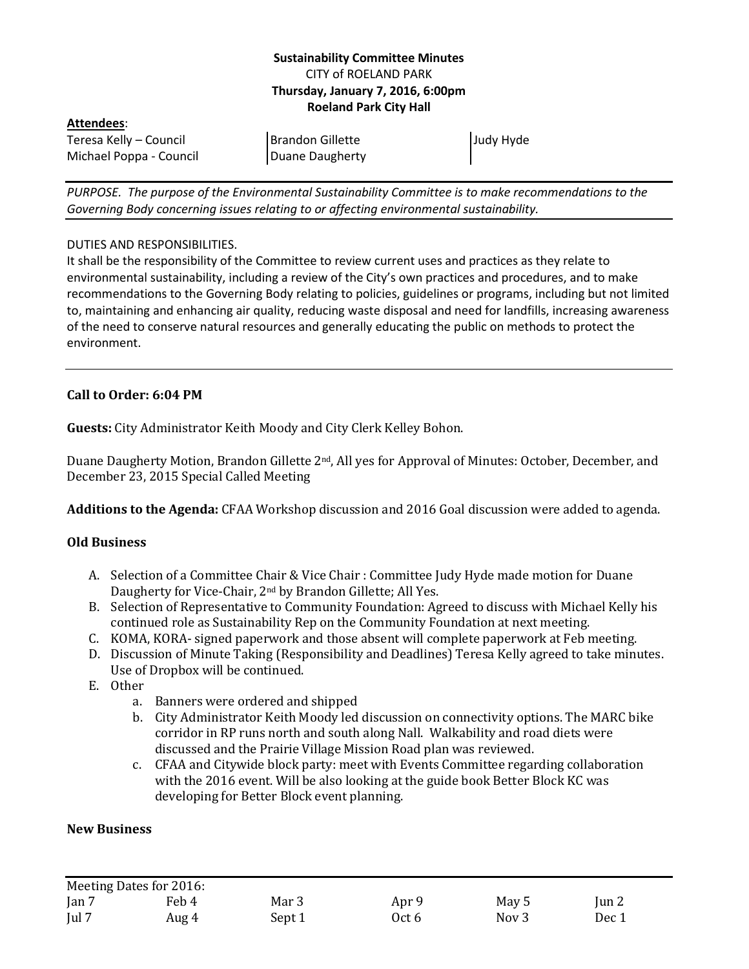### **Sustainability Committee Minutes** CITY of ROELAND PARK **Thursday, January 7, 2016, 6:00pm Roeland Park City Hall**

#### **Attendees**:

Teresa Kelly – Council Michael Poppa - Council Judy Hyde

*PURPOSE. The purpose of the Environmental Sustainability Committee is to make recommendations to the Governing Body concerning issues relating to or affecting environmental sustainability.*

Brandon Gillette Duane Daugherty

#### DUTIES AND RESPONSIBILITIES.

It shall be the responsibility of the Committee to review current uses and practices as they relate to environmental sustainability, including a review of the City's own practices and procedures, and to make recommendations to the Governing Body relating to policies, guidelines or programs, including but not limited to, maintaining and enhancing air quality, reducing waste disposal and need for landfills, increasing awareness of the need to conserve natural resources and generally educating the public on methods to protect the environment.

## **Call to Order: 6:04 PM**

**Guests:** City Administrator Keith Moody and City Clerk Kelley Bohon.

Duane Daugherty Motion, Brandon Gillette 2nd, All yes for Approval of Minutes: October, December, and December 23, 2015 Special Called Meeting

**Additions to the Agenda:** CFAA Workshop discussion and 2016 Goal discussion were added to agenda.

### **Old Business**

- A. Selection of a Committee Chair & Vice Chair : Committee Judy Hyde made motion for Duane Daugherty for Vice-Chair, 2nd by Brandon Gillette; All Yes.
- B. Selection of Representative to Community Foundation: Agreed to discuss with Michael Kelly his continued role as Sustainability Rep on the Community Foundation at next meeting.
- C. KOMA, KORA- signed paperwork and those absent will complete paperwork at Feb meeting.
- D. Discussion of Minute Taking (Responsibility and Deadlines) Teresa Kelly agreed to take minutes. Use of Dropbox will be continued.
- E. Other
	- a. Banners were ordered and shipped
	- b. City Administrator Keith Moody led discussion on connectivity options. The MARC bike corridor in RP runs north and south along Nall. Walkability and road diets were discussed and the Prairie Village Mission Road plan was reviewed.
	- c. CFAA and Citywide block party: meet with Events Committee regarding collaboration with the 2016 event. Will be also looking at the guide book Better Block KC was developing for Better Block event planning.

### **New Business**

| Meeting Dates for 2016: |       |        |       |                  |       |
|-------------------------|-------|--------|-------|------------------|-------|
| Jan 7                   | Feb 4 | Mar 3  | Apr 9 | May 5            | Jun 2 |
| Jul 7                   | Aug 4 | Sept 1 | Oct 6 | Nov <sub>3</sub> | Dec 1 |